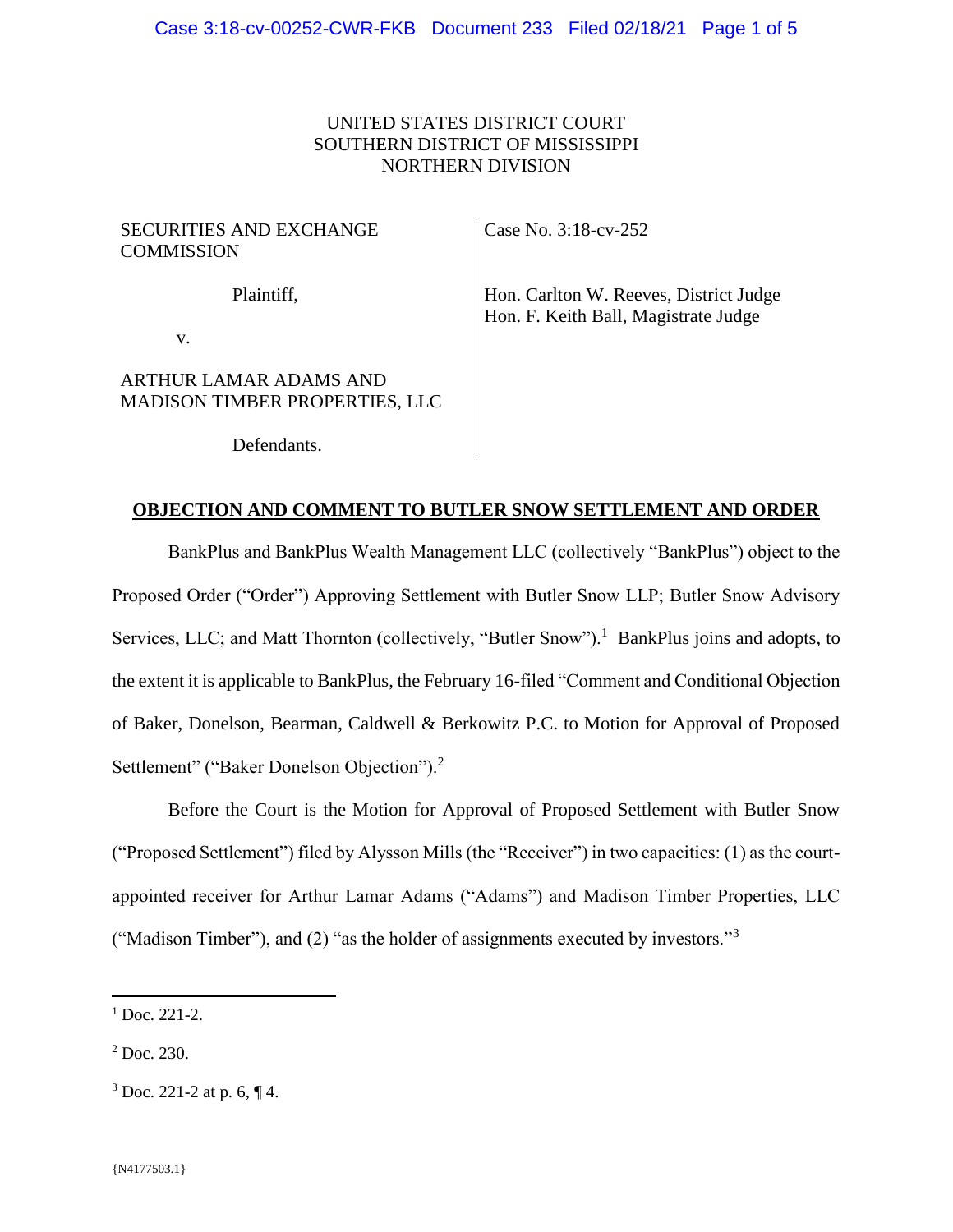## UNITED STATES DISTRICT COURT SOUTHERN DISTRICT OF MISSISSIPPI NORTHERN DIVISION

### SECURITIES AND EXCHANGE **COMMISSION**

Case No. 3:18-cv-252

Plaintiff,

Hon. Carlton W. Reeves, District Judge Hon. F. Keith Ball, Magistrate Judge

v.

# ARTHUR LAMAR ADAMS AND MADISON TIMBER PROPERTIES, LLC

Defendants.

### **OBJECTION AND COMMENT TO BUTLER SNOW SETTLEMENT AND ORDER**

BankPlus and BankPlus Wealth Management LLC (collectively "BankPlus") object to the Proposed Order ("Order") Approving Settlement with Butler Snow LLP; Butler Snow Advisory Services, LLC; and Matt Thornton (collectively, "Butler Snow").<sup>1</sup> BankPlus joins and adopts, to the extent it is applicable to BankPlus, the February 16-filed "Comment and Conditional Objection of Baker, Donelson, Bearman, Caldwell & Berkowitz P.C. to Motion for Approval of Proposed Settlement" ("Baker Donelson Objection").<sup>2</sup>

Before the Court is the Motion for Approval of Proposed Settlement with Butler Snow ("Proposed Settlement") filed by Alysson Mills (the "Receiver") in two capacities: (1) as the courtappointed receiver for Arthur Lamar Adams ("Adams") and Madison Timber Properties, LLC ("Madison Timber"), and (2) "as the holder of assignments executed by investors."<sup>3</sup>

 $\overline{a}$ 

 $1$  Doc. 221-2.

<sup>2</sup> Doc. 230.

 $3$  Doc. 221-2 at p. 6,  $\P$ 4.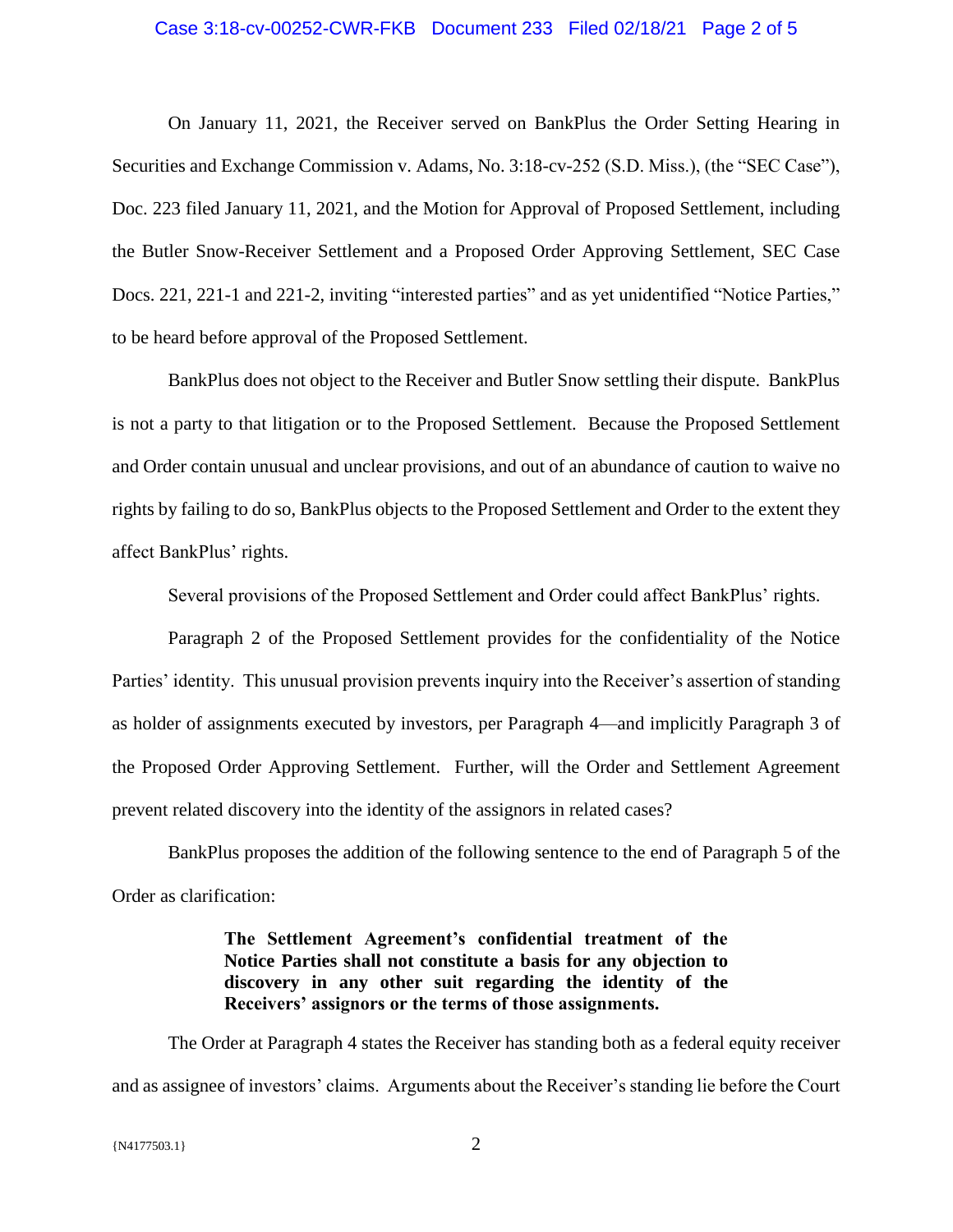#### Case 3:18-cv-00252-CWR-FKB Document 233 Filed 02/18/21 Page 2 of 5

On January 11, 2021, the Receiver served on BankPlus the Order Setting Hearing in Securities and Exchange Commission v. Adams, No. 3:18-cv-252 (S.D. Miss.), (the "SEC Case"), Doc. 223 filed January 11, 2021, and the Motion for Approval of Proposed Settlement, including the Butler Snow-Receiver Settlement and a Proposed Order Approving Settlement, SEC Case Docs. 221, 221-1 and 221-2, inviting "interested parties" and as yet unidentified "Notice Parties," to be heard before approval of the Proposed Settlement.

BankPlus does not object to the Receiver and Butler Snow settling their dispute. BankPlus is not a party to that litigation or to the Proposed Settlement. Because the Proposed Settlement and Order contain unusual and unclear provisions, and out of an abundance of caution to waive no rights by failing to do so, BankPlus objects to the Proposed Settlement and Order to the extent they affect BankPlus' rights.

Several provisions of the Proposed Settlement and Order could affect BankPlus' rights.

Paragraph 2 of the Proposed Settlement provides for the confidentiality of the Notice Parties' identity. This unusual provision prevents inquiry into the Receiver's assertion of standing as holder of assignments executed by investors, per Paragraph 4—and implicitly Paragraph 3 of the Proposed Order Approving Settlement. Further, will the Order and Settlement Agreement prevent related discovery into the identity of the assignors in related cases?

BankPlus proposes the addition of the following sentence to the end of Paragraph 5 of the Order as clarification:

# **The Settlement Agreement's confidential treatment of the Notice Parties shall not constitute a basis for any objection to discovery in any other suit regarding the identity of the Receivers' assignors or the terms of those assignments.**

The Order at Paragraph 4 states the Receiver has standing both as a federal equity receiver and as assignee of investors' claims. Arguments about the Receiver's standing lie before the Court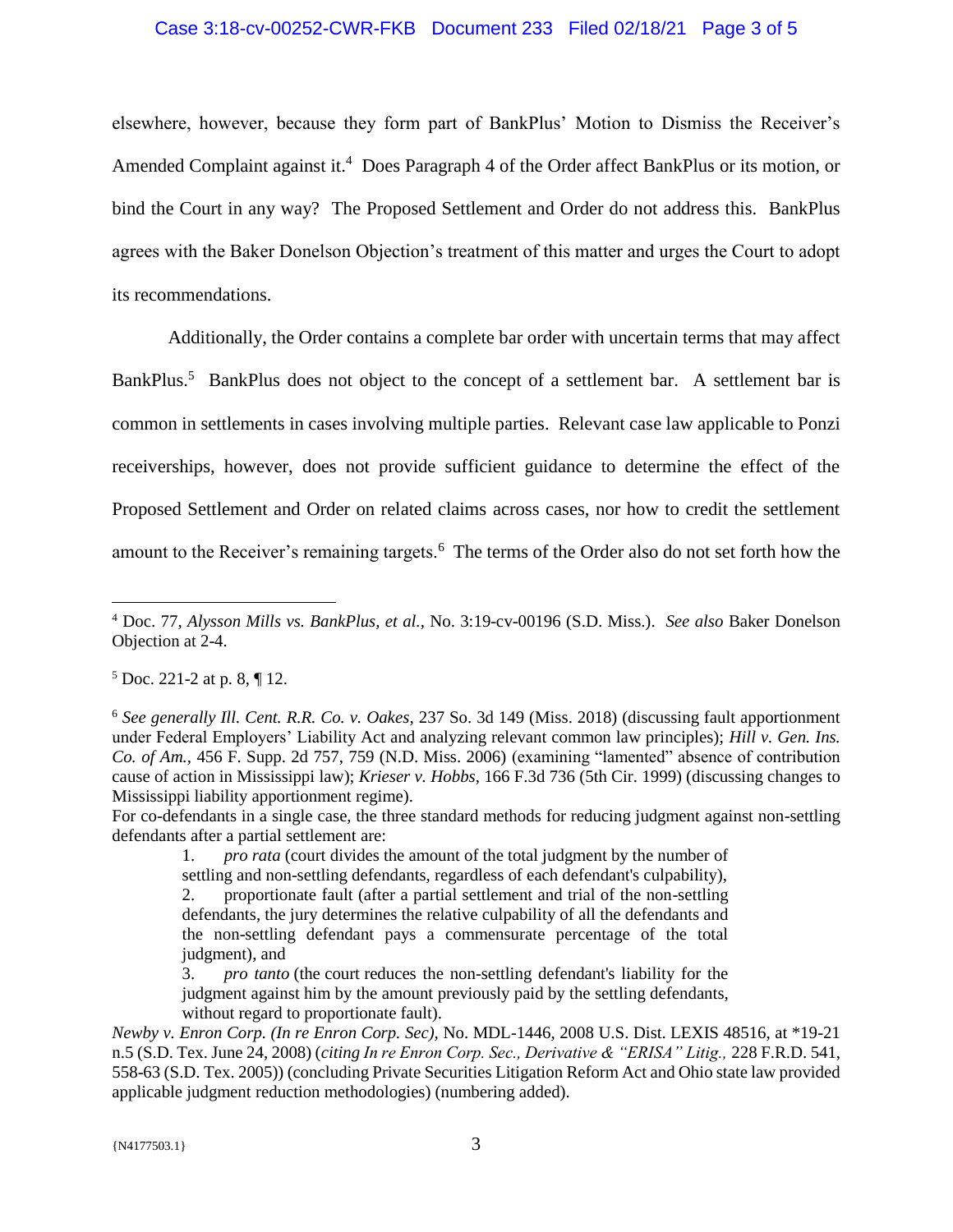### Case 3:18-cv-00252-CWR-FKB Document 233 Filed 02/18/21 Page 3 of 5

elsewhere, however, because they form part of BankPlus' Motion to Dismiss the Receiver's Amended Complaint against it.<sup>4</sup> Does Paragraph 4 of the Order affect BankPlus or its motion, or bind the Court in any way? The Proposed Settlement and Order do not address this. BankPlus agrees with the Baker Donelson Objection's treatment of this matter and urges the Court to adopt its recommendations.

Additionally, the Order contains a complete bar order with uncertain terms that may affect BankPlus.<sup>5</sup> BankPlus does not object to the concept of a settlement bar. A settlement bar is common in settlements in cases involving multiple parties. Relevant case law applicable to Ponzi receiverships, however, does not provide sufficient guidance to determine the effect of the Proposed Settlement and Order on related claims across cases, nor how to credit the settlement amount to the Receiver's remaining targets.<sup>6</sup> The terms of the Order also do not set forth how the

 $5$  Doc. 221-2 at p. 8,  $\P$  12.

 $\overline{a}$ 

For co-defendants in a single case, the three standard methods for reducing judgment against non-settling defendants after a partial settlement are:

1. *pro rata* (court divides the amount of the total judgment by the number of settling and non-settling defendants, regardless of each defendant's culpability),

2. proportionate fault (after a partial settlement and trial of the non-settling defendants, the jury determines the relative culpability of all the defendants and the non-settling defendant pays a commensurate percentage of the total judgment), and

3. *pro tanto* (the court reduces the non-settling defendant's liability for the judgment against him by the amount previously paid by the settling defendants, without regard to proportionate fault).

*Newby v. Enron Corp. (In re Enron Corp. Sec),* No. MDL-1446, 2008 U.S. Dist. LEXIS 48516, at \*19-21 n.5 (S.D. Tex. June 24, 2008) (*citing In re Enron Corp. Sec., Derivative & "ERISA" Litig.,* 228 F.R.D. 541, 558-63 (S.D. Tex. 2005)) (concluding Private Securities Litigation Reform Act and Ohio state law provided applicable judgment reduction methodologies) (numbering added).

<sup>4</sup> Doc. 77, *Alysson Mills vs. BankPlus, et al.*, No. 3:19-cv-00196 (S.D. Miss.). *See also* Baker Donelson Objection at 2-4.

<sup>6</sup> *See generally Ill. Cent. R.R. Co. v. Oakes*, 237 So. 3d 149 (Miss. 2018) (discussing fault apportionment under Federal Employers' Liability Act and analyzing relevant common law principles); *Hill v. Gen. Ins. Co. of Am.,* 456 F. Supp. 2d 757, 759 (N.D. Miss. 2006) (examining "lamented" absence of contribution cause of action in Mississippi law); *Krieser v. Hobbs*, 166 F.3d 736 (5th Cir. 1999) (discussing changes to Mississippi liability apportionment regime).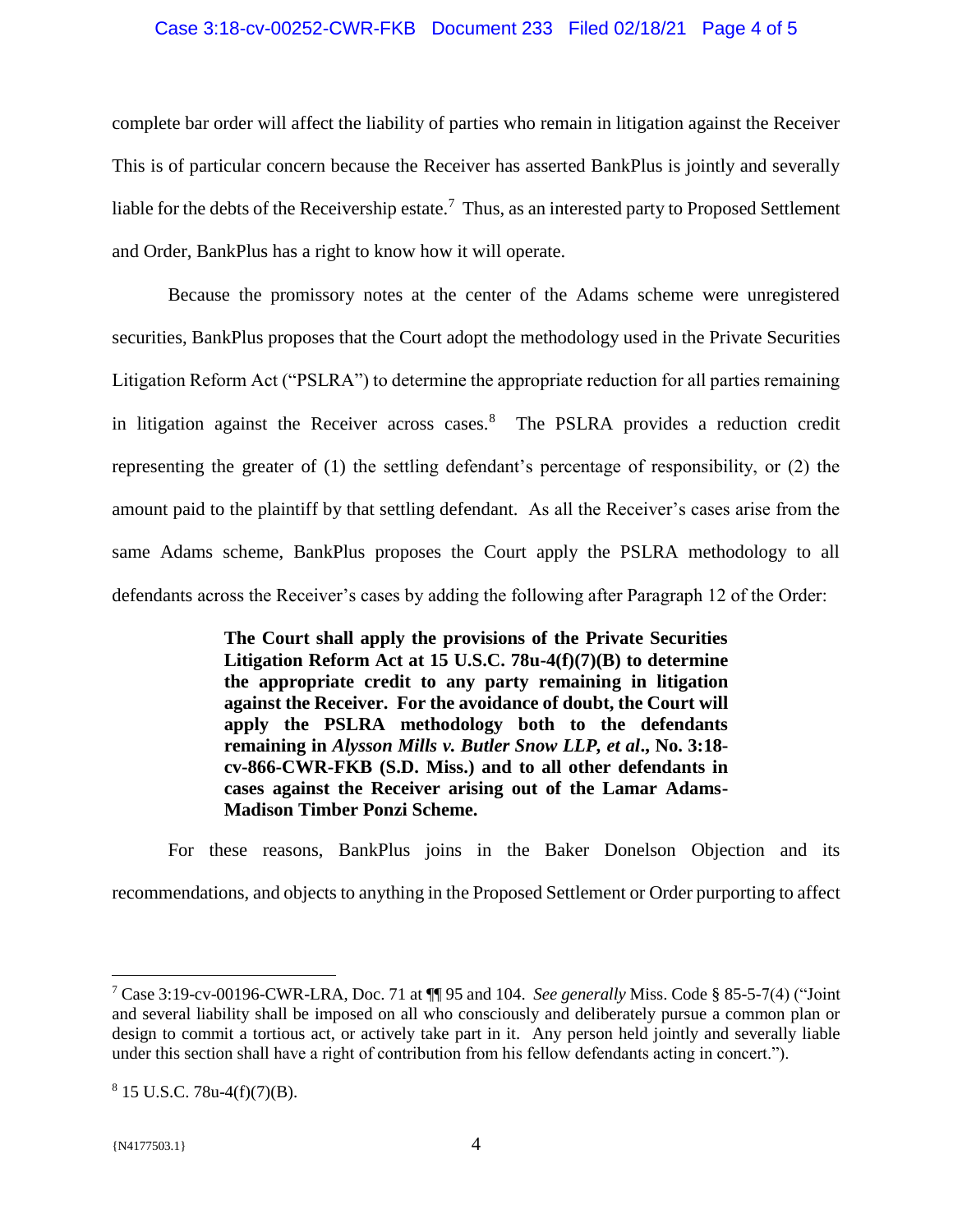### Case 3:18-cv-00252-CWR-FKB Document 233 Filed 02/18/21 Page 4 of 5

complete bar order will affect the liability of parties who remain in litigation against the Receiver This is of particular concern because the Receiver has asserted BankPlus is jointly and severally liable for the debts of the Receivership estate.<sup>7</sup> Thus, as an interested party to Proposed Settlement and Order, BankPlus has a right to know how it will operate.

Because the promissory notes at the center of the Adams scheme were unregistered securities, BankPlus proposes that the Court adopt the methodology used in the Private Securities Litigation Reform Act ("PSLRA") to determine the appropriate reduction for all parties remaining in litigation against the Receiver across cases.<sup>8</sup> The PSLRA provides a reduction credit representing the greater of (1) the settling defendant's percentage of responsibility, or (2) the amount paid to the plaintiff by that settling defendant. As all the Receiver's cases arise from the same Adams scheme, BankPlus proposes the Court apply the PSLRA methodology to all defendants across the Receiver's cases by adding the following after Paragraph 12 of the Order:

> **The Court shall apply the provisions of the Private Securities Litigation Reform Act at 15 U.S.C. 78u-4(f)(7)(B) to determine the appropriate credit to any party remaining in litigation against the Receiver. For the avoidance of doubt, the Court will apply the PSLRA methodology both to the defendants remaining in** *Alysson Mills v. Butler Snow LLP, et al***., No. 3:18 cv-866-CWR-FKB (S.D. Miss.) and to all other defendants in cases against the Receiver arising out of the Lamar Adams-Madison Timber Ponzi Scheme.**

For these reasons, BankPlus joins in the Baker Donelson Objection and its recommendations, and objects to anything in the Proposed Settlement or Order purporting to affect

 $\overline{a}$ 

<sup>7</sup> Case 3:19-cv-00196-CWR-LRA, Doc. 71 at ¶¶ 95 and 104. *See generally* Miss. Code § 85-5-7(4) ("Joint and several liability shall be imposed on all who consciously and deliberately pursue a common plan or design to commit a tortious act, or actively take part in it. Any person held jointly and severally liable under this section shall have a right of contribution from his fellow defendants acting in concert.").

 $8$  15 U.S.C. 78u-4(f)(7)(B).